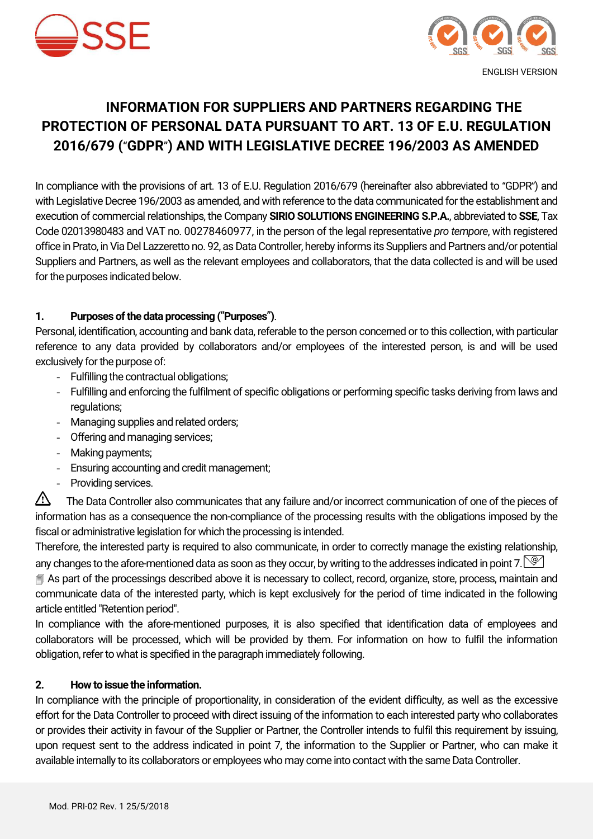



# **INFORMATION FOR SUPPLIERS AND PARTNERS REGARDING THE PROTECTION OF PERSONAL DATA PURSUANT TO ART. 13 OF E.U. REGULATION 2016/679 (**"**GDPR**"**) AND WITH LEGISLATIVE DECREE 196/2003 AS AMENDED**

In compliance with the provisions of art. 13 of E.U. Regulation 2016/679 (hereinafter also abbreviated to "GDPR") and with Legislative Decree 196/2003 as amended, and with reference to the data communicated for the establishment and execution of commercial relationships, the Company **SIRIO SOLUTIONS ENGINEERING S.P.A.**, abbreviated to **SSE**, Tax Code 02013980483 and VAT no. 00278460977, in the person of the legal representative *pro tempore*, with registered office in Prato, in Via Del Lazzeretto no. 92, as Data Controller, hereby informs its Suppliers and Partners and/or potential Suppliers and Partners, as well as the relevant employees and collaborators, that the data collected is and will be used for the purposes indicated below.

#### **1. Purposes of the data processing (**"**Purposes**"**)**.

Personal, identification, accounting and bank data, referable to the person concerned or to this collection, with particular reference to any data provided by collaborators and/or employees of the interested person, is and will be used exclusively for the purpose of:

- Fulfilling the contractual obligations;
- Fulfilling and enforcing the fulfilment of specific obligations or performing specific tasks deriving from laws and regulations;
- Managing supplies and related orders;
- Offering and managing services;
- Making payments;
- Ensuring accounting and credit management;
- Providing services.

The Data Controller also communicates that any failure and/or incorrect communication of one of the pieces of information has as a consequence the non-compliance of the processing results with the obligations imposed by the fiscal or administrative legislation for which the processing is intended.

Therefore, the interested party is required to also communicate, in order to correctly manage the existing relationship, any changes to the afore-mentioned data as soon as they occur, by writing to the addresses indicated in point 7.

 As part of the processings described above it is necessary to collect, record, organize, store, process, maintain and communicate data of the interested party, which is kept exclusively for the period of time indicated in the following article entitled "Retention period".

In compliance with the afore-mentioned purposes, it is also specified that identification data of employees and collaborators will be processed, which will be provided by them. For information on how to fulfil the information obligation, refer to what is specified in the paragraph immediately following.

#### **2. How to issue the information.**

In compliance with the principle of proportionality, in consideration of the evident difficulty, as well as the excessive effort for the Data Controller to proceed with direct issuing of the information to each interested party who collaborates or provides their activity in favour of the Supplier or Partner, the Controller intends to fulfil this requirement by issuing, upon request sent to the address indicated in point 7, the information to the Supplier or Partner, who can make it available internally to its collaborators or employees who may come into contact with the same Data Controller.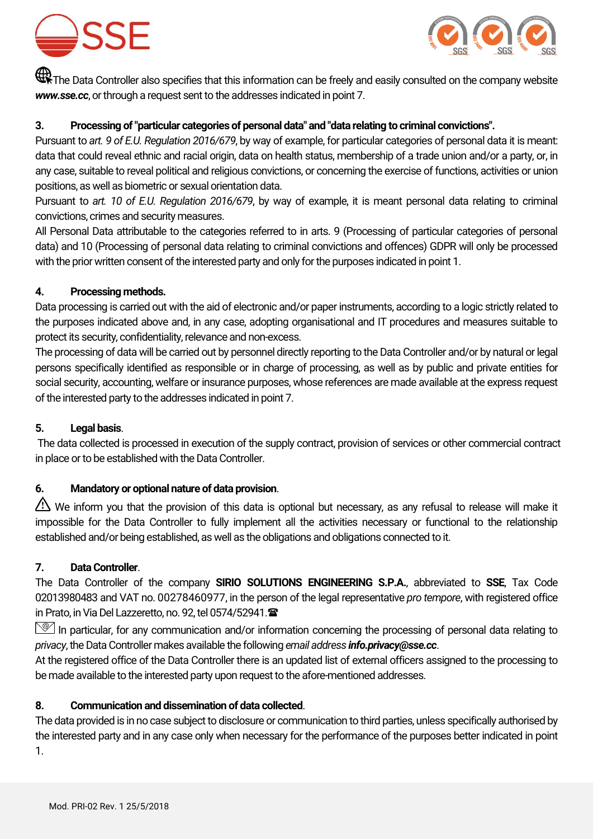



 $\bigoplus$  The Data Controller also specifies that this information can be freely and easily consulted on the company website *www.sse.cc*, or through a request sent to the addresses indicated in point 7.

#### **3. Processing of "particular categories of personal data" and "data relating to criminal convictions".**

Pursuant to *art. 9 of E.U. Regulation 2016/679*, by way of example, for particular categories of personal data it is meant: data that could reveal ethnic and racial origin, data on health status, membership of a trade union and/or a party, or, in any case, suitable to reveal political and religious convictions, or concerning the exercise of functions, activities or union positions, as well as biometric or sexual orientation data.

Pursuant to *art. 10 of E.U. Regulation 2016/679*, by way of example, it is meant personal data relating to criminal convictions, crimes and security measures.

All Personal Data attributable to the categories referred to in arts. 9 (Processing of particular categories of personal data) and 10 (Processing of personal data relating to criminal convictions and offences) GDPR will only be processed with the prior written consent of the interested party and only for the purposes indicated in point 1.

#### **4. Processing methods.**

Data processing is carried out with the aid of electronic and/or paper instruments, according to a logic strictly related to the purposes indicated above and, in any case, adopting organisational and IT procedures and measures suitable to protect its security, confidentiality, relevance and non-excess.

The processing of data will be carried out by personnel directly reporting to the Data Controller and/or by natural or legal persons specifically identified as responsible or in charge of processing, as well as by public and private entities for social security, accounting, welfare or insurance purposes, whose references are made available at the express request of the interested party to the addresses indicated in point 7.

# **5. Legal basis**.

The data collected is processed in execution of the supply contract, provision of services or other commercial contract in place or to be established with the Data Controller.

# **6. Mandatory or optional nature of data provision**.

We inform you that the provision of this data is optional but necessary, as any refusal to release will make it impossible for the Data Controller to fully implement all the activities necessary or functional to the relationship established and/or being established, as well as the obligations and obligations connected to it.

#### **7. Data Controller**.

The Data Controller of the company **SIRIO SOLUTIONS ENGINEERING S.P.A.**, abbreviated to **SSE**, Tax Code 02013980483 and VAT no. 00278460977, in the person of the legal representative *pro tempore*, with registered office in Prato, in Via Del Lazzeretto, no. 92, tel 0574/52941.

In particular, for any communication and/or information concerning the processing of personal data relating to *privacy*, the Data Controller makes available the following *email address info.privacy@sse.cc*.

At the registered office of the Data Controller there is an updated list of external officers assigned to the processing to be made available to the interested party upon request to the afore-mentioned addresses.

# **8. Communication and dissemination of data collected**.

The data provided is in no case subject to disclosure or communication to third parties, unless specifically authorised by the interested party and in any case only when necessary for the performance of the purposes better indicated in point 1.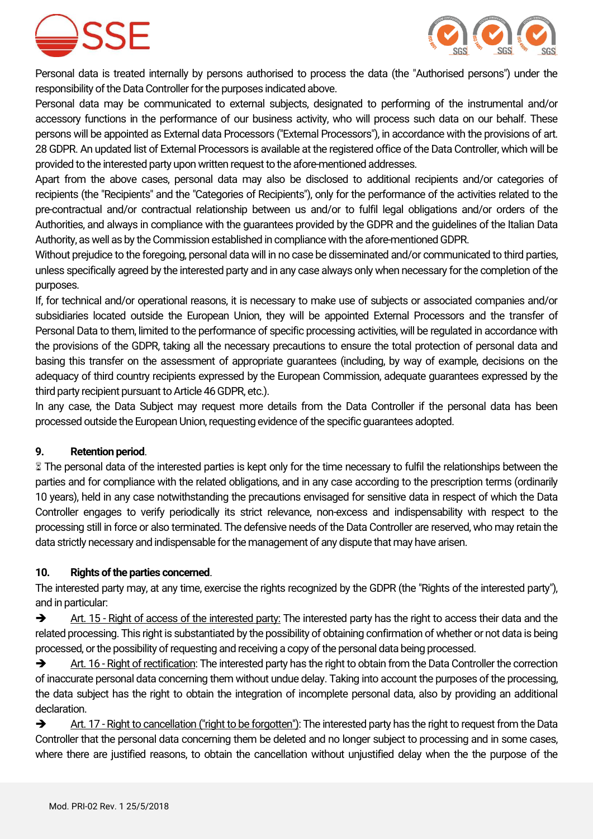



Personal data is treated internally by persons authorised to process the data (the "Authorised persons") under the responsibility of the Data Controller for the purposes indicated above.

Personal data may be communicated to external subjects, designated to performing of the instrumental and/or accessory functions in the performance of our business activity, who will process such data on our behalf. These persons will be appointed as External data Processors ("External Processors"), in accordance with the provisions of art. 28 GDPR. An updated list of External Processors is available at the registered office of the Data Controller, which will be provided to the interested party upon written request to the afore-mentioned addresses.

Apart from the above cases, personal data may also be disclosed to additional recipients and/or categories of recipients (the "Recipients" and the "Categories of Recipients"), only for the performance of the activities related to the pre-contractual and/or contractual relationship between us and/or to fulfil legal obligations and/or orders of the Authorities, and always in compliance with the guarantees provided by the GDPR and the guidelines of the Italian Data Authority, as well as by the Commission established in compliance with the afore-mentioned GDPR.

Without prejudice to the foregoing, personal data will in no case be disseminated and/or communicated to third parties, unless specifically agreed by the interested party and in any case always only when necessary for the completion of the purposes.

If, for technical and/or operational reasons, it is necessary to make use of subjects or associated companies and/or subsidiaries located outside the European Union, they will be appointed External Processors and the transfer of Personal Data to them, limited to the performance of specific processing activities, will be regulated in accordance with the provisions of the GDPR, taking all the necessary precautions to ensure the total protection of personal data and basing this transfer on the assessment of appropriate guarantees (including, by way of example, decisions on the adequacy of third country recipients expressed by the European Commission, adequate guarantees expressed by the third party recipient pursuant to Article 46 GDPR, etc.).

In any case, the Data Subject may request more details from the Data Controller if the personal data has been processed outside the European Union, requesting evidence of the specific guarantees adopted.

# **9. Retention period**.

 The personal data of the interested parties is kept only for the time necessary to fulfil the relationships between the parties and for compliance with the related obligations, and in any case according to the prescription terms (ordinarily 10 years), held in any case notwithstanding the precautions envisaged for sensitive data in respect of which the Data Controller engages to verify periodically its strict relevance, non-excess and indispensability with respect to the processing still in force or also terminated. The defensive needs of the Data Controller are reserved, who may retain the data strictly necessary and indispensable for the management of any dispute that may have arisen.

#### **10. Rights of the parties concerned**.

The interested party may, at any time, exercise the rights recognized by the GDPR (the "Rights of the interested party"), and in particular:

Art. 15 - Right of access of the interested party: The interested party has the right to access their data and the related processing. This right is substantiated by the possibility of obtaining confirmation of whether or not data is being processed, or the possibility of requesting and receiving a copy of the personal data being processed.

Art. 16 - Right of rectification: The interested party has the right to obtain from the Data Controller the correction of inaccurate personal data concerning them without undue delay. Taking into account the purposes of the processing, the data subject has the right to obtain the integration of incomplete personal data, also by providing an additional declaration.

Art. 17 - Right to cancellation ("right to be forgotten"): The interested party has the right to request from the Data Controller that the personal data concerning them be deleted and no longer subject to processing and in some cases, where there are justified reasons, to obtain the cancellation without unjustified delay when the the purpose of the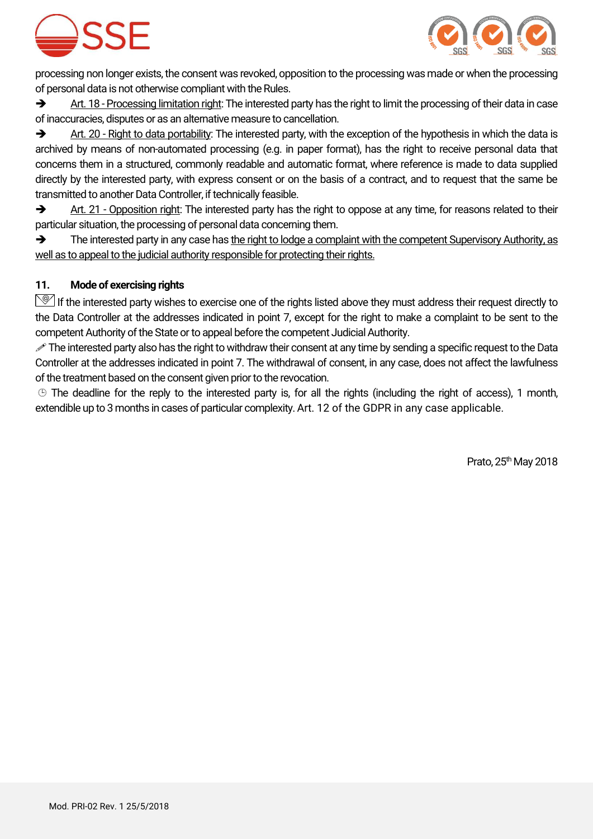



processing non longer exists, the consent was revoked, opposition to the processing was made or when the processing of personal data is not otherwise compliant with the Rules.

 $\rightarrow$  Art. 18 - Processing limitation right: The interested party has the right to limit the processing of their data in case of inaccuracies, disputes or as an alternative measure to cancellation.

Art. 20 - Right to data portability: The interested party, with the exception of the hypothesis in which the data is archived by means of non-automated processing (e.g. in paper format), has the right to receive personal data that concerns them in a structured, commonly readable and automatic format, where reference is made to data supplied directly by the interested party, with express consent or on the basis of a contract, and to request that the same be transmitted to another Data Controller, if technically feasible.

Art. 21 - Opposition right: The interested party has the right to oppose at any time, for reasons related to their particular situation, the processing of personal data concerning them.

 $\rightarrow$  The interested party in any case has the right to lodge a complaint with the competent Supervisory Authority, as well as to appeal to the judicial authority responsible for protecting their rights.

# **11. Mode of exercising rights**

 $\mathbb{S}$  If the interested party wishes to exercise one of the rights listed above they must address their request directly to the Data Controller at the addresses indicated in point 7, except for the right to make a complaint to be sent to the competent Authority of the State or to appeal before the competent Judicial Authority.

The interested party also has the right to withdraw their consent at any time by sending a specific request to the Data Controller at the addresses indicated in point 7. The withdrawal of consent, in any case, does not affect the lawfulness of the treatment based on the consent given prior to the revocation.

 The deadline for the reply to the interested party is, for all the rights (including the right of access), 1 month, extendible up to 3 months in cases of particular complexity. Art. 12 of the GDPR in any case applicable.

Prato,  $25<sup>th</sup>$  May 2018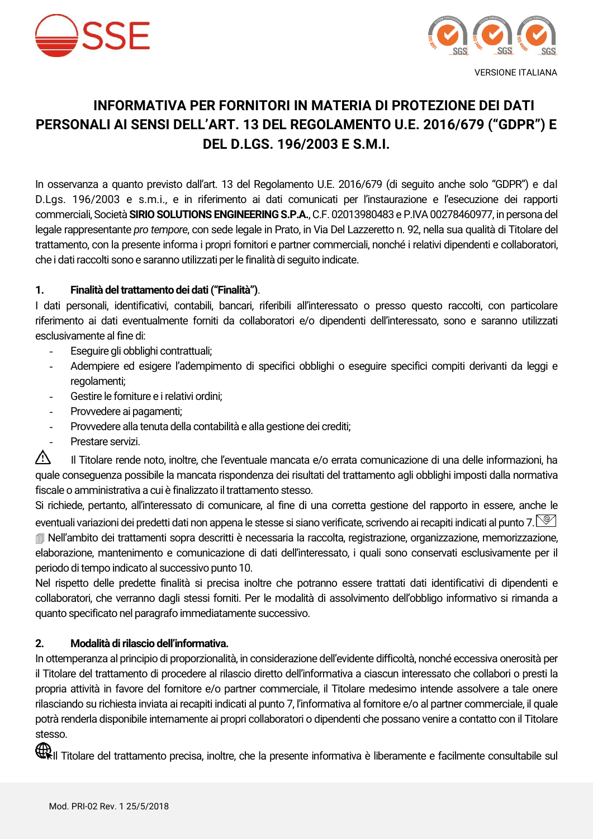



# **INFORMATIVA PER FORNITORI IN MATERIA DI PROTEZIONE DEI DATI PERSONALI AI SENSI DELL'ART. 13 DEL REGOLAMENTO U.E. 2016/679 ("GDPR") E DEL D.LGS. 196/2003 E S.M.I.**

In osservanza a quanto previsto dall'art. 13 del Regolamento U.E. 2016/679 (di seguito anche solo "GDPR") e dal D.Lgs. 196/2003 e s.m.i., e in riferimento ai dati comunicati per l'instaurazione e l'esecuzione dei rapporti commerciali, Società **SIRIO SOLUTIONS ENGINEERINGS.P.A.**, C.F. 02013980483 e P.IVA 00278460977, in persona del legale rappresentante *pro tempore*, con sede legale in Prato, in Via Del Lazzeretto n. 92, nella sua qualità di Titolare del trattamento, con la presente informa i propri fornitori e partner commerciali, nonché i relativi dipendenti e collaboratori, che i dati raccolti sono e saranno utilizzati per le finalità di seguito indicate.

#### **1. Finalità del trattamento dei dati ("Finalità")**.

I dati personali, identificativi, contabili, bancari, riferibili all'interessato o presso questo raccolti, con particolare riferimento ai dati eventualmente forniti da collaboratori e/o dipendenti dell'interessato, sono e saranno utilizzati esclusivamente al fine di:

- Eseguire gli obblighi contrattuali;
- Adempiere ed esigere l'adempimento di specifici obblighi o eseguire specifici compiti derivanti da leggi e regolamenti;
- Gestire le forniture e i relativi ordini;
- Provvedere ai pagamenti;
- Provvedere alla tenuta della contabilità e alla gestione dei crediti;
- Prestare servizi.

Il Titolare rende noto, inoltre, che l'eventuale mancata e/o errata comunicazione di una delle informazioni, ha quale conseguenza possibile la mancata rispondenza dei risultati del trattamento agli obblighi imposti dalla normativa fiscale o amministrativa a cui è finalizzato il trattamento stesso.

Si richiede, pertanto, all'interessato di comunicare, al fine di una corretta gestione del rapporto in essere, anche le eventuali variazioni dei predetti dati non appena le stesse si siano verificate, scrivendo ai recapiti indicati al punto 7.  $\circled{2}$  Nell'ambito dei trattamenti sopra descritti è necessaria la raccolta, registrazione, organizzazione, memorizzazione, elaborazione, mantenimento e comunicazione di dati dell'interessato, i quali sono conservati esclusivamente per il periodo di tempo indicato al successivo punto 10.

Nel rispetto delle predette finalità si precisa inoltre che potranno essere trattati dati identificativi di dipendenti e collaboratori, che verranno dagli stessi forniti. Per le modalità di assolvimento dell'obbligo informativo si rimanda a quanto specificato nel paragrafo immediatamente successivo.

#### **2. Modalità di rilascio dell'informativa.**

In ottemperanza al principio di proporzionalità, in considerazione dell'evidente difficoltà, nonché eccessiva onerosità per il Titolare del trattamento di procedere al rilascio diretto dell'informativa a ciascun interessato che collabori o presti la propria attività in favore del fornitore e/o partner commerciale, il Titolare medesimo intende assolvere a tale onere rilasciando su richiesta inviata ai recapiti indicati al punto 7, l'informativa al fornitore e/o al partner commerciale, il quale potrà renderla disponibile internamente ai propri collaboratori o dipendenti che possano venire a contatto con il Titolare stesso.

**ID**III Titolare del trattamento precisa, inoltre, che la presente informativa è liberamente e facilmente consultabile sul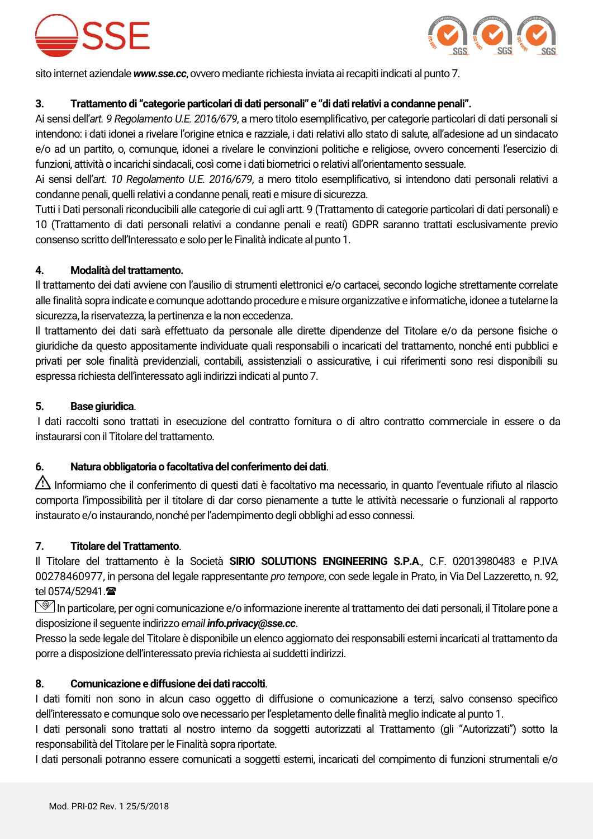



sito internet aziendale *www.sse.cc*, ovvero mediante richiesta inviata ai recapiti indicati al punto 7.

# **3. Trattamento di "categorie particolari di dati personali" e "di dati relativi a condanne penali".**

Ai sensi dell'*art. 9 Regolamento U.E. 2016/679*, a mero titolo esemplificativo, per categorie particolari di dati personali si intendono: i dati idonei a rivelare l'origine etnica e razziale, i dati relativi allo stato di salute, all'adesione ad un sindacato e/o ad un partito, o, comunque, idonei a rivelare le convinzioni politiche e religiose, ovvero concernenti l'esercizio di funzioni, attività o incarichi sindacali, così come i dati biometrici o relativi all'orientamento sessuale.

Ai sensi dell'*art. 10 Regolamento U.E. 2016/679*, a mero titolo esemplificativo, si intendono dati personali relativi a condanne penali, quelli relativi a condanne penali, reati e misure di sicurezza.

Tutti i Dati personali riconducibili alle categorie di cui agli artt. 9 (Trattamento di categorie particolari di dati personali) e 10 (Trattamento di dati personali relativi a condanne penali e reati) GDPR saranno trattati esclusivamente previo consenso scritto dell'Interessato e solo per le Finalità indicate al punto 1.

#### **4. Modalità del trattamento.**

Il trattamento dei dati avviene con l'ausilio di strumenti elettronici e/o cartacei, secondo logiche strettamente correlate alle finalità sopra indicate e comunque adottando procedure e misure organizzative e informatiche, idonee a tutelarne la sicurezza, la riservatezza, la pertinenza e la non eccedenza.

Il trattamento dei dati sarà effettuato da personale alle dirette dipendenze del Titolare e/o da persone fisiche o giuridiche da questo appositamente individuate quali responsabili o incaricati del trattamento, nonché enti pubblici e privati per sole finalità previdenziali, contabili, assistenziali o assicurative, i cui riferimenti sono resi disponibili su espressa richiesta dell'interessato agli indirizzi indicati al punto 7.

#### **5. Base giuridica**.

I dati raccolti sono trattati in esecuzione del contratto fornitura o di altro contratto commerciale in essere o da instaurarsi con il Titolare del trattamento.

# **6. Natura obbligatoria o facoltativa del conferimento dei dati**.

Informiamo che il conferimento di questi dati è facoltativo ma necessario, in quanto l'eventuale rifiuto al rilascio comporta l'impossibilità per il titolare di dar corso pienamente a tutte le attività necessarie o funzionali al rapporto instaurato e/o instaurando, nonché per l'adempimento degli obblighi ad esso connessi.

#### **7. Titolare del Trattamento**.

Il Titolare del trattamento è la Società **SIRIO SOLUTIONS ENGINEERING S.P.A**., C.F. 02013980483 e P.IVA 00278460977, in persona del legale rappresentante *pro tempore*, con sede legale in Prato, in Via Del Lazzeretto, n. 92, tel 0574/52941. <sup>金</sup>

 $\mathbb{S}$ In particolare, per ogni comunicazione e/o informazione inerente al trattamento dei dati personali, il Titolare pone a disposizione il seguente indirizzo *email info.privacy@sse.cc*.

Presso la sede legale del Titolare è disponibile un elenco aggiornato dei responsabili esterni incaricati al trattamento da porre a disposizione dell'interessato previa richiesta ai suddetti indirizzi.

# **8. Comunicazione e diffusione dei dati raccolti**.

I dati forniti non sono in alcun caso oggetto di diffusione o comunicazione a terzi, salvo consenso specifico dell'interessato e comunque solo ove necessario per l'espletamento delle finalità meglio indicate al punto 1.

I dati personali sono trattati al nostro interno da soggetti autorizzati al Trattamento (gli "Autorizzati") sotto la responsabilità del Titolare per le Finalità sopra riportate.

I dati personali potranno essere comunicati a soggetti esterni, incaricati del compimento di funzioni strumentali e/o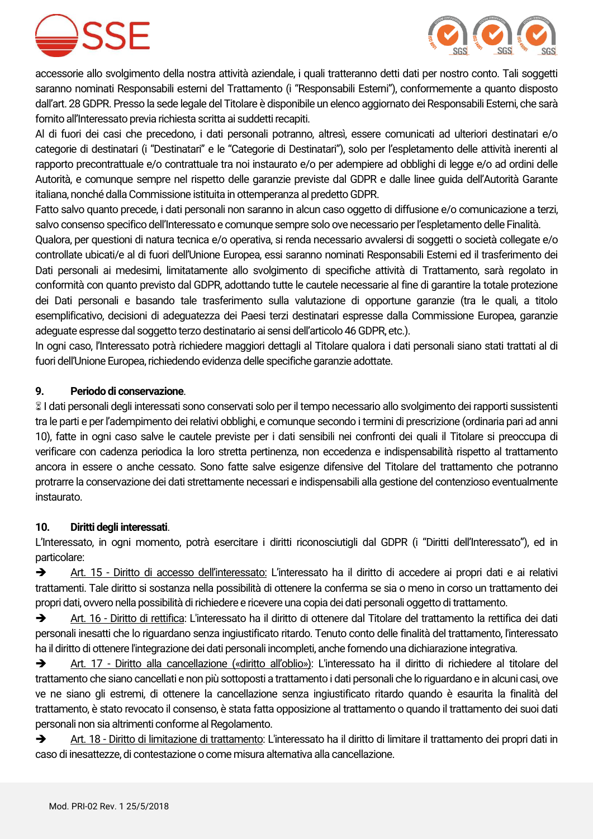



accessorie allo svolgimento della nostra attività aziendale, i quali tratteranno detti dati per nostro conto. Tali soggetti saranno nominati Responsabili esterni del Trattamento (i "Responsabili Esterni"), conformemente a quanto disposto dall'art. 28 GDPR. Presso la sede legale del Titolare è disponibile un elenco aggiornato dei Responsabili Esterni, che sarà fornito all'Interessato previa richiesta scritta ai suddetti recapiti.

Al di fuori dei casi che precedono, i dati personali potranno, altresì, essere comunicati ad ulteriori destinatari e/o categorie di destinatari (i "Destinatari" e le "Categorie di Destinatari"), solo per l'espletamento delle attività inerenti al rapporto precontrattuale e/o contrattuale tra noi instaurato e/o per adempiere ad obblighi di legge e/o ad ordini delle Autorità, e comunque sempre nel rispetto delle garanzie previste dal GDPR e dalle linee guida dell'Autorità Garante italiana, nonché dalla Commissione istituita in ottemperanza al predetto GDPR.

Fatto salvo quanto precede, i dati personali non saranno in alcun caso oggetto di diffusione e/o comunicazione a terzi, salvo consenso specifico dell'Interessato e comunque sempre solo ove necessario per l'espletamento delle Finalità.

Qualora, per questioni di natura tecnica e/o operativa, si renda necessario avvalersi di soggetti o società collegate e/o controllate ubicati/e al di fuori dell'Unione Europea, essi saranno nominati Responsabili Esterni ed il trasferimento dei Dati personali ai medesimi, limitatamente allo svolgimento di specifiche attività di Trattamento, sarà regolato in conformità con quanto previsto dal GDPR, adottando tutte le cautele necessarie al fine di garantire la totale protezione dei Dati personali e basando tale trasferimento sulla valutazione di opportune garanzie (tra le quali, a titolo esemplificativo, decisioni di adeguatezza dei Paesi terzi destinatari espresse dalla Commissione Europea, garanzie adeguate espresse dal soggetto terzo destinatario ai sensi dell'articolo 46 GDPR, etc.).

In ogni caso, l'Interessato potrà richiedere maggiori dettagli al Titolare qualora i dati personali siano stati trattati al di fuori dell'Unione Europea, richiedendo evidenza delle specifiche garanzie adottate.

#### **9. Periodo di conservazione**.

 I dati personali degli interessati sono conservati solo per il tempo necessario allo svolgimento dei rapporti sussistenti tra le parti e per l'adempimento dei relativi obblighi, e comunque secondo i termini di prescrizione (ordinaria pari ad anni 10), fatte in ogni caso salve le cautele previste per i dati sensibili nei confronti dei quali il Titolare si preoccupa di verificare con cadenza periodica la loro stretta pertinenza, non eccedenza e indispensabilità rispetto al trattamento ancora in essere o anche cessato. Sono fatte salve esigenze difensive del Titolare del trattamento che potranno protrarre la conservazione dei dati strettamente necessari e indispensabili alla gestione del contenzioso eventualmente instaurato.

#### **10. Diritti degli interessati**.

L'Interessato, in ogni momento, potrà esercitare i diritti riconosciutigli dal GDPR (i "Diritti dell'Interessato"), ed in particolare:

 Art. 15 - Diritto di accesso dell'interessato: L'interessato ha il diritto di accedere ai propri dati e ai relativi trattamenti. Tale diritto si sostanza nella possibilità di ottenere la conferma se sia o meno in corso un trattamento dei propri dati, ovvero nella possibilità di richiedere e ricevere una copia dei dati personali oggetto di trattamento.

 Art. 16 - Diritto di rettifica: L'interessato ha il diritto di ottenere dal Titolare del trattamento la rettifica dei dati personali inesatti che lo riguardano senza ingiustificato ritardo. Tenuto conto delle finalità del trattamento, l'interessato ha il diritto di ottenere l'integrazione dei dati personali incompleti, anche fornendo una dichiarazione integrativa.

 Art. 17 - Diritto alla cancellazione («diritto all'oblio»): L'interessato ha il diritto di richiedere al titolare del trattamento che siano cancellati e non più sottoposti a trattamento i dati personali che lo riguardano e in alcuni casi, ove ve ne siano gli estremi, di ottenere la cancellazione senza ingiustificato ritardo quando è esaurita la finalità del trattamento, è stato revocato il consenso, è stata fatta opposizione al trattamento o quando il trattamento dei suoi dati personali non sia altrimenti conforme al Regolamento.

Art. 18 - Diritto di limitazione di trattamento: L'interessato ha il diritto di limitare il trattamento dei propri dati in caso di inesattezze, di contestazione o come misura alternativa alla cancellazione.